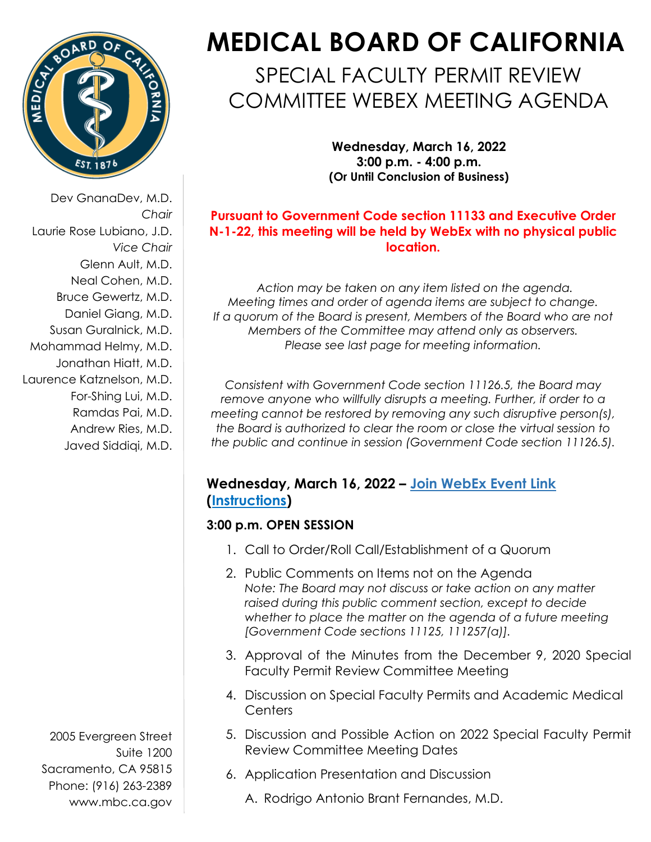

Dev GnanaDev, M.D. *Chair* Laurie Rose Lubiano, J.D. *Vice Chair* Glenn Ault, M.D. Neal Cohen, M.D. Bruce Gewertz, M.D. Daniel Giang, M.D. Susan Guralnick, M.D. Mohammad Helmy, M.D. Jonathan Hiatt, M.D. Laurence Katznelson, M.D. For-Shing Lui, M.D. Ramdas Pai, M.D.

> Andrew Ries, M.D. Javed Siddiqi, M.D.

2005 Evergreen Street Suite 1200 Sacramento, CA 95815 Phone: (916) 263-2389 [www.mbc.ca.gov](http://www.mbc.ca.gov/) 

# **MEDICAL BOARD OF CALIFORNIA**

# SPECIAL FACULTY PERMIT REVIEW COMMITTEE WEBEX MEETING AGENDA

**Wednesday, March 16, 2022 3:00 p.m. - 4:00 p.m. (Or Until Conclusion of Business)**

### **Pursuant to Government Code section 11133 and Executive Order N-1-22, this meeting will be held by WebEx with no physical public location.**

*Action may be taken on any item listed on the agenda. Meeting times and order of agenda items are subject to change. If a quorum of the Board is present, Members of the Board who are not Members of the Committee may attend only as observers. Please see last page for meeting information.*

*Consistent with Government Code section 11126.5, the Board may remove anyone who willfully disrupts a meeting. Further, if order to a meeting cannot be restored by removing any such disruptive person(s), the Board is authorized to clear the room or close the virtual session to the public and continue in session (Government Code section 11126.5).*

## **Wednesday, March 16, 2022 – [Join WebEx Event Link](https://dca-meetings.webex.com/webappng/sites/dca-meetings/meeting/register/3e2dee9e7ed64b7f80f66f2f89d34ce8?ticket=4832534b00000005ff5136866c5ab9468bd02f219c0737b0af57f3b4ac89ee441fdbd600afbf2fd8×tamp=1647364902233&locale=en_US) [\(Instructions\)](https://www.mbc.ca.gov/Download/User-Guides/HowToJoinAWebExEvent.pdf)**

# **3:00 p.m. OPEN SESSION**

- 1. Call to Order/Roll Call/Establishment of a Quorum
- 2. Public Comments on Items not on the Agenda *Note: The Board may not discuss or take action on any matter raised during this public comment section, except to decide whether to place the matter on the agenda of a future meeting [Government Code sections 11125, 111257(a)].*
- 3. Approval of the Minutes from the December 9, 2020 Special Faculty Permit Review Committee Meeting
- 4. Discussion on Special Faculty Permits and Academic Medical **Centers**
- 5. Discussion and Possible Action on 2022 Special Faculty Permit Review Committee Meeting Dates
- 6. Application Presentation and Discussion
	- A. Rodrigo Antonio Brant Fernandes, M.D.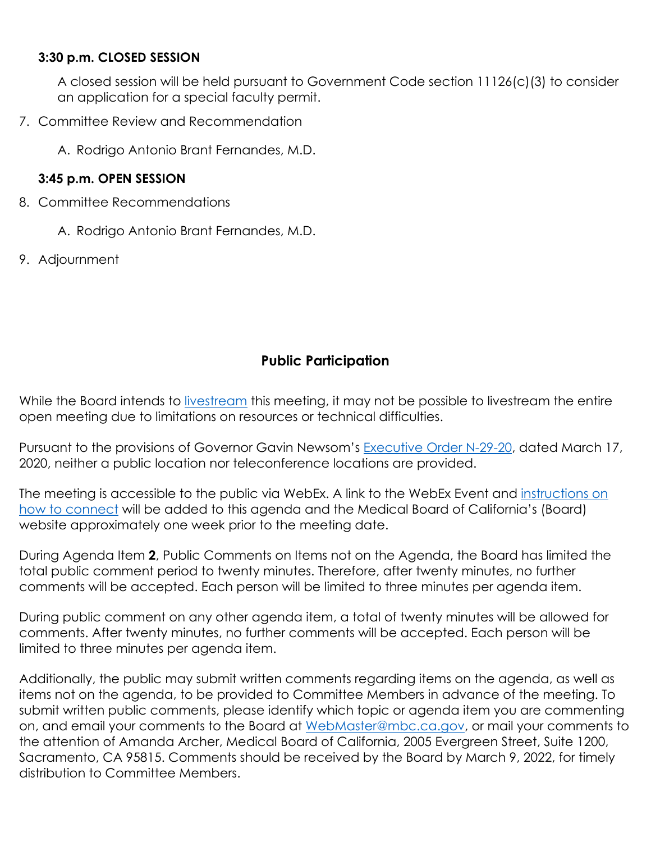#### **3:30 p.m. CLOSED SESSION**

A closed session will be held pursuant to Government Code section 11126(c)(3) to consider an application for a special faculty permit.

7. Committee Review and Recommendation

A. Rodrigo Antonio Brant Fernandes, M.D.

#### **3:45 p.m. OPEN SESSION**

- 8. Committee Recommendations
	- A. Rodrigo Antonio Brant Fernandes, M.D.
- 9. Adjournment

# **Public Participation**

While the Board intends to [livestream](http://www.mbc.ca.gov/About_Us/Meetings/Livestream_and_Webcast_Details.aspx) this meeting, it may not be possible to livestream the entire open meeting due to limitations on resources or technical difficulties.

Pursuant to the provisions of Governor Gavin Newsom's [Executive Order N-29-20,](https://www.gov.ca.gov/wp-content/uploads/2020/03/3.17.20-N-29-20-EO.pdf) dated March 17, 2020, neither a public location nor teleconference locations are provided.

The meeting is accessible to the public via WebEx. A link to the WebEx Event and instructions on [how to connect](https://www.mbc.ca.gov/Download/User-Guides/HowToJoinAWebExEvent.pdf) will be added to this agenda and the Medical Board of California's (Board) website approximately one week prior to the meeting date.

During Agenda Item **2**, Public Comments on Items not on the Agenda, the Board has limited the total public comment period to twenty minutes. Therefore, after twenty minutes, no further comments will be accepted. Each person will be limited to three minutes per agenda item.

During public comment on any other agenda item, a total of twenty minutes will be allowed for comments. After twenty minutes, no further comments will be accepted. Each person will be limited to three minutes per agenda item.

Additionally, the public may submit written comments regarding items on the agenda, as well as items not on the agenda, to be provided to Committee Members in advance of the meeting. To submit written public comments, please identify which topic or agenda item you are commenting on, and email your comments to the Board at WebMaster@mbc.ca.gov, or mail your comments to the attention of Amanda Archer, Medical Board of California, 2005 Evergreen Street, Suite 1200, Sacramento, CA 95815. Comments should be received by the Board by March 9, 2022, for timely distribution to Committee Members.